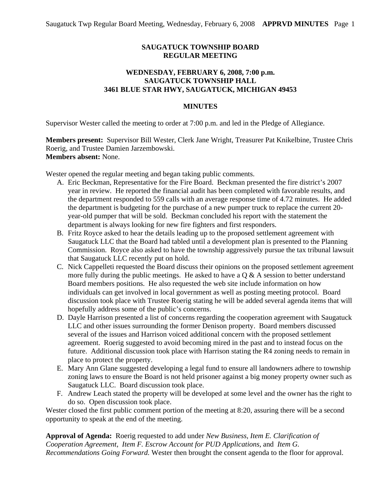# **SAUGATUCK TOWNSHIP BOARD REGULAR MEETING**

## **WEDNESDAY, FEBRUARY 6, 2008, 7:00 p.m. SAUGATUCK TOWNSHIP HALL 3461 BLUE STAR HWY, SAUGATUCK, MICHIGAN 49453**

## **MINUTES**

Supervisor Wester called the meeting to order at 7:00 p.m. and led in the Pledge of Allegiance.

**Members present:** Supervisor Bill Wester, Clerk Jane Wright, Treasurer Pat Knikelbine, Trustee Chris Roerig, and Trustee Damien Jarzembowski. **Members absent:** None.

Wester opened the regular meeting and began taking public comments.

- A. Eric Beckman, Representative for the Fire Board. Beckman presented the fire district's 2007 year in review. He reported the financial audit has been completed with favorable results, and the department responded to 559 calls with an average response time of 4.72 minutes. He added the department is budgeting for the purchase of a new pumper truck to replace the current 20 year-old pumper that will be sold. Beckman concluded his report with the statement the department is always looking for new fire fighters and first responders.
- B. Fritz Royce asked to hear the details leading up to the proposed settlement agreement with Saugatuck LLC that the Board had tabled until a development plan is presented to the Planning Commission. Royce also asked to have the township aggressively pursue the tax tribunal lawsuit that Saugatuck LLC recently put on hold.
- C. Nick Cappelleti requested the Board discuss their opinions on the proposed settlement agreement more fully during the public meetings. He asked to have a  $\overline{Q}$  & A session to better understand Board members positions. He also requested the web site include information on how individuals can get involved in local government as well as posting meeting protocol. Board discussion took place with Trustee Roerig stating he will be added several agenda items that will hopefully address some of the public's concerns.
- D. Dayle Harrison presented a list of concerns regarding the cooperation agreement with Saugatuck LLC and other issues surrounding the former Denison property. Board members discussed several of the issues and Harrison voiced additional concern with the proposed settlement agreement. Roerig suggested to avoid becoming mired in the past and to instead focus on the future. Additional discussion took place with Harrison stating the R4 zoning needs to remain in place to protect the property.
- E. Mary Ann Glane suggested developing a legal fund to ensure all landowners adhere to township zoning laws to ensure the Board is not held prisoner against a big money property owner such as Saugatuck LLC. Board discussion took place.
- F. Andrew Leach stated the property will be developed at some level and the owner has the right to do so. Open discussion took place.

Wester closed the first public comment portion of the meeting at 8:20, assuring there will be a second opportunity to speak at the end of the meeting.

**Approval of Agenda:** Roerig requested to add under *New Business, Item E. Clarification of Cooperation Agreement*, *Item F. Escrow Account for PUD Applications,* and *Item G. Recommendations Going Forward.* Wester then brought the consent agenda to the floor for approval.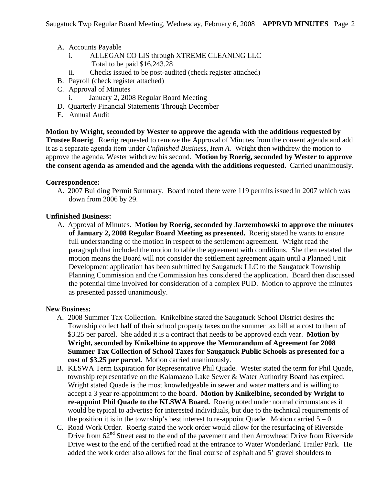- A. Accounts Payable
	- i. ALLEGAN CO LIS through XTREME CLEANING LLC Total to be paid \$16,243.28
	- ii. Checks issued to be post-audited (check register attached)
- B. Payroll (check register attached)
- C. Approval of Minutes
	- i. January 2, 2008 Regular Board Meeting
- D. Quarterly Financial Statements Through December
- E. Annual Audit

**Motion by Wright, seconded by Wester to approve the agenda with the additions requested by Trustee Roerig**. Roerig requested to remove the Approval of Minutes from the consent agenda and add it as a separate agenda item under *Unfinished Business, Item A.* Wright then withdrew the motion to approve the agenda, Wester withdrew his second. **Motion by Roerig, seconded by Wester to approve the consent agenda as amended and the agenda with the additions requested.** Carried unanimously.

#### **Correspondence:**

A. 2007 Building Permit Summary. Board noted there were 119 permits issued in 2007 which was down from 2006 by 29.

#### **Unfinished Business:**

A. Approval of Minutes. **Motion by Roerig, seconded by Jarzembowski to approve the minutes of January 2, 2008 Regular Board Meeting as presented.** Roerig stated he wants to ensure full understanding of the motion in respect to the settlement agreement. Wright read the paragraph that included the motion to table the agreement with conditions. She then restated the motion means the Board will not consider the settlement agreement again until a Planned Unit Development application has been submitted by Saugatuck LLC to the Saugatuck Township Planning Commission and the Commission has considered the application. Board then discussed the potential time involved for consideration of a complex PUD. Motion to approve the minutes as presented passed unanimously.

#### **New Business:**

- A. 2008 Summer Tax Collection. Knikelbine stated the Saugatuck School District desires the Township collect half of their school property taxes on the summer tax bill at a cost to them of \$3.25 per parcel. She added it is a contract that needs to be approved each year. **Motion by Wright, seconded by Knikelbine to approve the Memorandum of Agreement for 2008 Summer Tax Collection of School Taxes for Saugatuck Public Schools as presented for a cost of \$3.25 per parcel.** Motion carried unanimously.
- B. KLSWA Term Expiration for Representative Phil Quade. Wester stated the term for Phil Quade, township representative on the Kalamazoo Lake Sewer & Water Authority Board has expired. Wright stated Quade is the most knowledgeable in sewer and water matters and is willing to accept a 3 year re-appointment to the board. **Motion by Knikelbine, seconded by Wright to re-appoint Phil Quade to the KLSWA Board.** Roerig noted under normal circumstances it would be typical to advertise for interested individuals, but due to the technical requirements of the position it is in the township's best interest to re-appoint Quade. Motion carried  $5 - 0$ .
- C. Road Work Order. Roerig stated the work order would allow for the resurfacing of Riverside Drive from  $62<sup>nd</sup>$  Street east to the end of the pavement and then Arrowhead Drive from Riverside Drive west to the end of the certified road at the entrance to Water Wonderland Trailer Park. He added the work order also allows for the final course of asphalt and 5' gravel shoulders to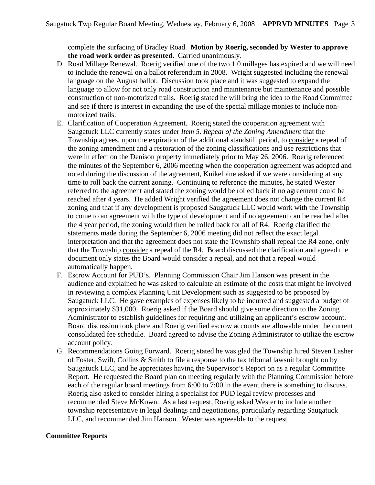complete the surfacing of Bradley Road. **Motion by Roerig, seconded by Wester to approve the road work order as presented.** Carried unanimously.

- D. Road Millage Renewal. Roerig verified one of the two 1.0 millages has expired and we will need to include the renewal on a ballot referendum in 2008. Wright suggested including the renewal language on the August ballot. Discussion took place and it was suggested to expand the language to allow for not only road construction and maintenance but maintenance and possible construction of non-motorized trails. Roerig stated he will bring the idea to the Road Committee and see if there is interest in expanding the use of the special millage monies to include nonmotorized trails.
- E. Clarification of Cooperation Agreement. Roerig stated the cooperation agreement with Saugatuck LLC currently states under *Item 5. Repeal of the Zoning Amendment* that the Township agrees, upon the expiration of the additional standstill period, to consider a repeal of the zoning amendment and a restoration of the zoning classifications and use restrictions that were in effect on the Denison property immediately prior to May 26, 2006. Roerig referenced the minutes of the September 6, 2006 meeting when the cooperation agreement was adopted and noted during the discussion of the agreement, Knikelbine asked if we were considering at any time to roll back the current zoning. Continuing to reference the minutes, he stated Wester referred to the agreement and stated the zoning would be rolled back if no agreement could be reached after 4 years. He added Wright verified the agreement does not change the current R4 zoning and that if any development is proposed Saugatuck LLC would work with the Township to come to an agreement with the type of development and if no agreement can be reached after the 4 year period, the zoning would then be rolled back for all of R4. Roerig clarified the statements made during the September 6, 2006 meeting did not reflect the exact legal interpretation and that the agreement does not state the Township shall repeal the R4 zone, only that the Township consider a repeal of the R4. Board discussed the clarification and agreed the document only states the Board would consider a repeal, and not that a repeal would automatically happen.
- F. Escrow Account for PUD's. Planning Commission Chair Jim Hanson was present in the audience and explained he was asked to calculate an estimate of the costs that might be involved in reviewing a complex Planning Unit Development such as suggested to be proposed by Saugatuck LLC. He gave examples of expenses likely to be incurred and suggested a budget of approximately \$31,000. Roerig asked if the Board should give some direction to the Zoning Administrator to establish guidelines for requiring and utilizing an applicant's escrow account. Board discussion took place and Roerig verified escrow accounts are allowable under the current consolidated fee schedule. Board agreed to advise the Zoning Administrator to utilize the escrow account policy.
- G. Recommendations Going Forward. Roerig stated he was glad the Township hired Steven Lasher of Foster, Swift, Collins & Smith to file a response to the tax tribunal lawsuit brought on by Saugatuck LLC, and he appreciates having the Supervisor's Report on as a regular Committee Report. He requested the Board plan on meeting regularly with the Planning Commission before each of the regular board meetings from 6:00 to 7:00 in the event there is something to discuss. Roerig also asked to consider hiring a specialist for PUD legal review processes and recommended Steve McKown. As a last request, Roerig asked Wester to include another township representative in legal dealings and negotiations, particularly regarding Saugatuck LLC, and recommended Jim Hanson. Wester was agreeable to the request.

### **Committee Reports**